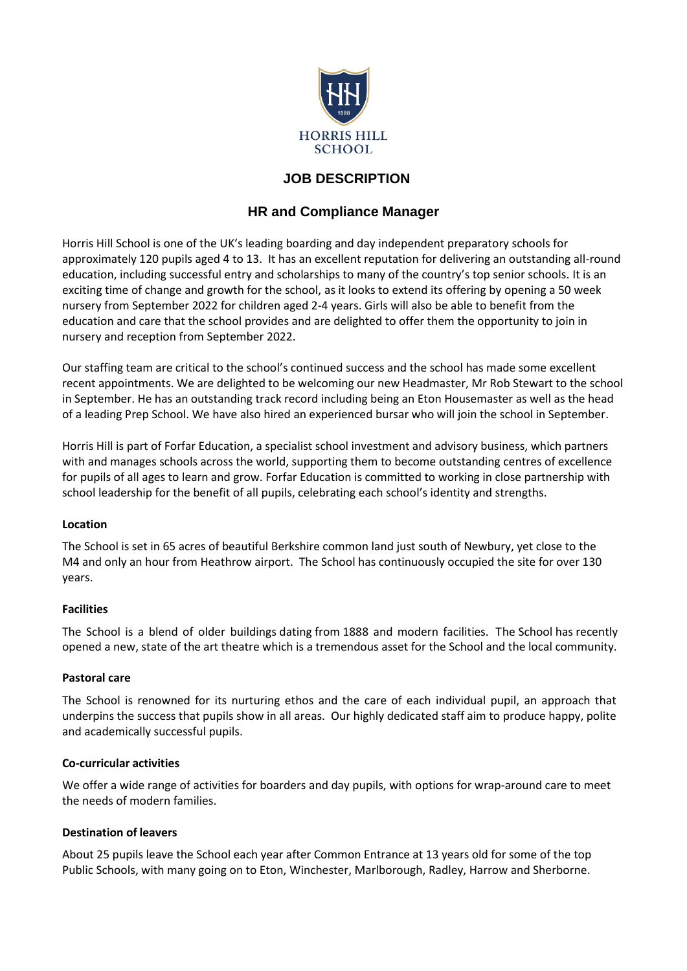

# **JOB DESCRIPTION**

## **HR and Compliance Manager**

Horris Hill School is one of the UK's leading boarding and day independent preparatory schools for approximately 120 pupils aged 4 to 13. It has an excellent reputation for delivering an outstanding all-round education, including successful entry and scholarships to many of the country's top senior schools. It is an exciting time of change and growth for the school, as it looks to extend its offering by opening a 50 week nursery from September 2022 for children aged 2-4 years. Girls will also be able to benefit from the education and care that the school provides and are delighted to offer them the opportunity to join in nursery and reception from September 2022.

Our staffing team are critical to the school's continued success and the school has made some excellent recent appointments. We are delighted to be welcoming our new Headmaster, Mr Rob Stewart to the school in September. He has an outstanding track record including being an Eton Housemaster as well as the head of a leading Prep School. We have also hired an experienced bursar who will join the school in September.

Horris Hill is part of Forfar Education, a specialist school investment and advisory business, which partners with and manages schools across the world, supporting them to become outstanding centres of excellence for pupils of all ages to learn and grow. Forfar Education is committed to working in close partnership with school leadership for the benefit of all pupils, celebrating each school's identity and strengths.

#### **Location**

The School is set in 65 acres of beautiful Berkshire common land just south of Newbury, yet close to the M4 and only an hour from Heathrow airport. The School has continuously occupied the site for over 130 years.

## **Facilities**

The School is a blend of older buildings dating from 1888 and modern facilities. The School has recently opened a new, state of the art theatre which is a tremendous asset for the School and the local community.

#### **Pastoral care**

The School is renowned for its nurturing ethos and the care of each individual pupil, an approach that underpins the success that pupils show in all areas. Our highly dedicated staff aim to produce happy, polite and academically successful pupils.

#### **Co-curricular activities**

We offer a wide range of activities for boarders and day pupils, with options for wrap-around care to meet the needs of modern families.

#### **Destination of leavers**

About 25 pupils leave the School each year after Common Entrance at 13 years old for some of the top Public Schools, with many going on to Eton, Winchester, Marlborough, Radley, Harrow and Sherborne.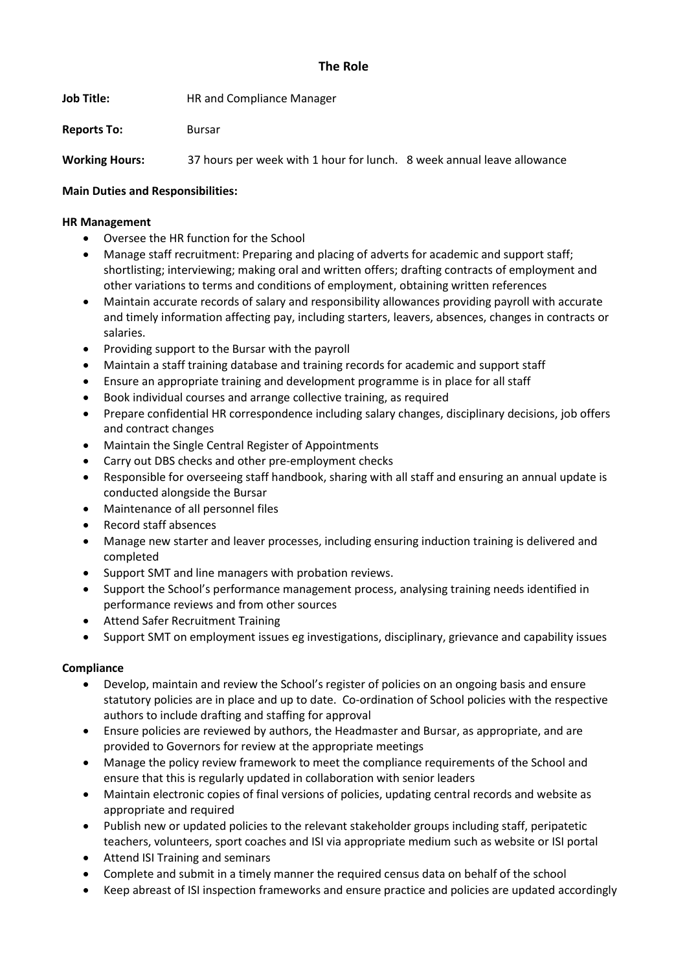## **The Role**

**Job Title:** HR and Compliance Manager

**Reports To:** Bursar

**Working Hours:** 37 hours per week with 1 hour for lunch. 8 week annual leave allowance

## **Main Duties and Responsibilities:**

## **HR Management**

- Oversee the HR function for the School
- Manage staff recruitment: Preparing and placing of adverts for academic and support staff; shortlisting; interviewing; making oral and written offers; drafting contracts of employment and other variations to terms and conditions of employment, obtaining written references
- Maintain accurate records of salary and responsibility allowances providing payroll with accurate and timely information affecting pay, including starters, leavers, absences, changes in contracts or salaries.
- Providing support to the Bursar with the payroll
- Maintain a staff training database and training records for academic and support staff
- Ensure an appropriate training and development programme is in place for all staff
- Book individual courses and arrange collective training, as required
- Prepare confidential HR correspondence including salary changes, disciplinary decisions, job offers and contract changes
- Maintain the Single Central Register of Appointments
- Carry out DBS checks and other pre-employment checks
- Responsible for overseeing staff handbook, sharing with all staff and ensuring an annual update is conducted alongside the Bursar
- Maintenance of all personnel files
- Record staff absences
- Manage new starter and leaver processes, including ensuring induction training is delivered and completed
- Support SMT and line managers with probation reviews.
- Support the School's performance management process, analysing training needs identified in performance reviews and from other sources
- Attend Safer Recruitment Training
- Support SMT on employment issues eg investigations, disciplinary, grievance and capability issues

## **Compliance**

- Develop, maintain and review the School's register of policies on an ongoing basis and ensure statutory policies are in place and up to date. Co-ordination of School policies with the respective authors to include drafting and staffing for approval
- Ensure policies are reviewed by authors, the Headmaster and Bursar, as appropriate, and are provided to Governors for review at the appropriate meetings
- Manage the policy review framework to meet the compliance requirements of the School and ensure that this is regularly updated in collaboration with senior leaders
- Maintain electronic copies of final versions of policies, updating central records and website as appropriate and required
- Publish new or updated policies to the relevant stakeholder groups including staff, peripatetic teachers, volunteers, sport coaches and ISI via appropriate medium such as website or ISI portal
- Attend ISI Training and seminars
- Complete and submit in a timely manner the required census data on behalf of the school
- Keep abreast of ISI inspection frameworks and ensure practice and policies are updated accordingly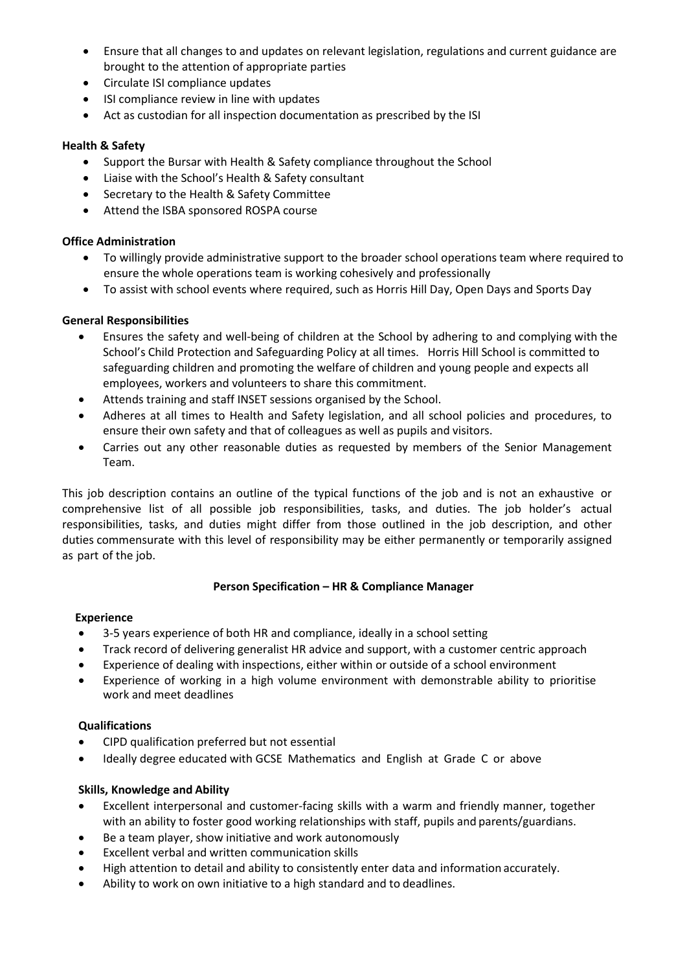- Ensure that all changes to and updates on relevant legislation, regulations and current guidance are brought to the attention of appropriate parties
- Circulate ISI compliance updates
- ISI compliance review in line with updates
- Act as custodian for all inspection documentation as prescribed by the ISI

## **Health & Safety**

- Support the Bursar with Health & Safety compliance throughout the School
- Liaise with the School's Health & Safety consultant
- Secretary to the Health & Safety Committee
- Attend the ISBA sponsored ROSPA course

## **Office Administration**

- To willingly provide administrative support to the broader school operations team where required to ensure the whole operations team is working cohesively and professionally
- To assist with school events where required, such as Horris Hill Day, Open Days and Sports Day

## **General Responsibilities**

- Ensures the safety and well-being of children at the School by adhering to and complying with the School's Child Protection and Safeguarding Policy at all times. Horris Hill School is committed to safeguarding children and promoting the welfare of children and young people and expects all employees, workers and volunteers to share this commitment.
- Attends training and staff INSET sessions organised by the School.
- Adheres at all times to Health and Safety legislation, and all school policies and procedures, to ensure their own safety and that of colleagues as well as pupils and visitors.
- Carries out any other reasonable duties as requested by members of the Senior Management Team.

This job description contains an outline of the typical functions of the job and is not an exhaustive or comprehensive list of all possible job responsibilities, tasks, and duties. The job holder's actual responsibilities, tasks, and duties might differ from those outlined in the job description, and other duties commensurate with this level of responsibility may be either permanently or temporarily assigned as part of the job.

#### **Person Specification – HR & Compliance Manager**

#### **Experience**

- 3-5 years experience of both HR and compliance, ideally in a school setting
- Track record of delivering generalist HR advice and support, with a customer centric approach
- Experience of dealing with inspections, either within or outside of a school environment
- Experience of working in a high volume environment with demonstrable ability to prioritise work and meet deadlines

### **Qualifications**

- CIPD qualification preferred but not essential
- Ideally degree educated with GCSE Mathematics and English at Grade C or above

#### **Skills, Knowledge and Ability**

- Excellent interpersonal and customer-facing skills with a warm and friendly manner, together with an ability to foster good working relationships with staff, pupils and parents/guardians.
- Be a team player, show initiative and work autonomously
- Excellent verbal and written communication skills
- High attention to detail and ability to consistently enter data and information accurately.
- Ability to work on own initiative to a high standard and to deadlines.